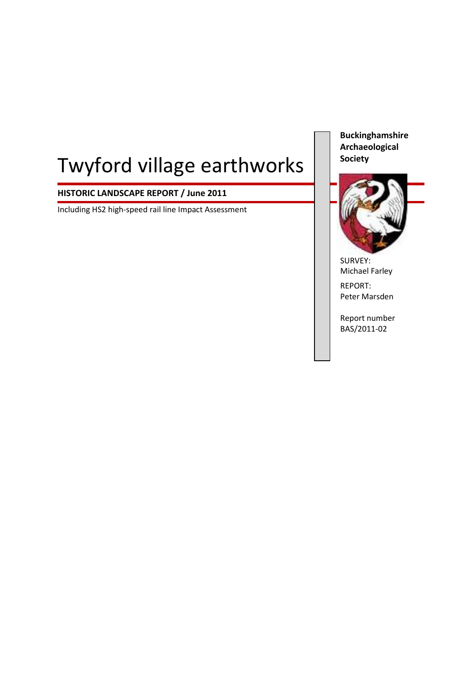# Twyford village earthworks

# **HISTORIC LANDSCAPE REPORT / June 2011**

Including HS2 high-speed rail line Impact Assessment

**Buckinghamshire Archaeological Society**



SURVEY: Michael Farley

REPORT: Peter Marsden

Report number BAS/2011-02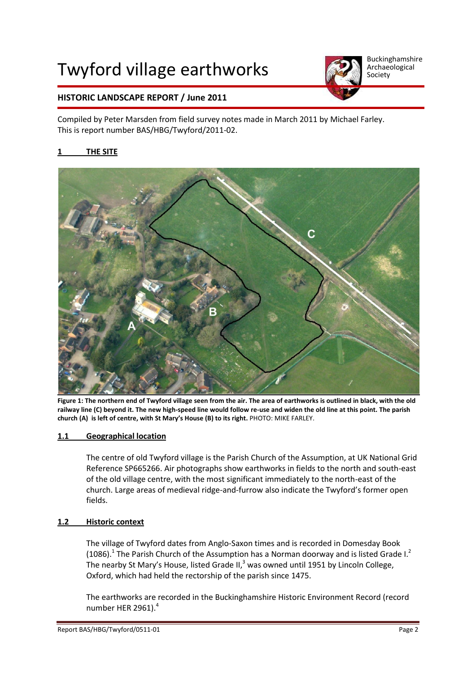# Twyford village earthworks



Buckinghamshire Archaeological Society

# **HISTORIC LANDSCAPE REPORT / June 2011**

Compiled by Peter Marsden from field survey notes made in March 2011 by Michael Farley. This is report number BAS/HBG/Twyford/2011-02.

### **1 THE SITE**



**Figure 1: The northern end of Twyford village seen from the air. The area of earthworks is outlined in black, with the old railway line (C) beyond it. The new high-speed line would follow re-use and widen the old line at this point. The parish church (A) is left of centre, with St Mary's House (B) to its right.** PHOTO: MIKE FARLEY.

#### **1.1 Geographical location**

The centre of old Twyford village is the Parish Church of the Assumption, at UK National Grid Reference SP665266. Air photographs show earthworks in fields to the north and south-east of the old village centre, with the most significant immediately to the north-east of the church. Large areas of medieval ridge-and-furrow also indicate the Twyford's former open fields.

#### **1.2 Historic context**

The village of Twyford dates from Anglo-Saxon times and is recorded in Domesday Book (1086).<sup>1</sup> The Parish Church of the Assumption has a Norman doorway and is listed Grade I.<sup>2</sup> The nearby St Mary's House, listed Grade II, $^3$  was owned until 1951 by Lincoln College, Oxford, which had held the rectorship of the parish since 1475.

The earthworks are recorded in the Buckinghamshire Historic Environment Record (record number HER 2961).<sup>4</sup>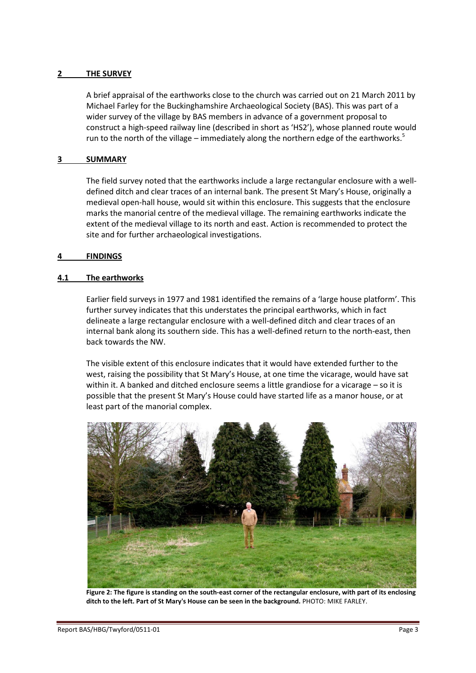#### **2 THE SURVEY**

A brief appraisal of the earthworks close to the church was carried out on 21 March 2011 by Michael Farley for the Buckinghamshire Archaeological Society (BAS). This was part of a wider survey of the village by BAS members in advance of a government proposal to construct a high-speed railway line (described in short as 'HS2'), whose planned route would run to the north of the village – immediately along the northern edge of the earthworks.<sup>5</sup>

#### **3 SUMMARY**

The field survey noted that the earthworks include a large rectangular enclosure with a welldefined ditch and clear traces of an internal bank. The present St Mary's House, originally a medieval open-hall house, would sit within this enclosure. This suggests that the enclosure marks the manorial centre of the medieval village. The remaining earthworks indicate the extent of the medieval village to its north and east. Action is recommended to protect the site and for further archaeological investigations.

#### **4 FINDINGS**

#### **4.1 The earthworks**

Earlier field surveys in 1977 and 1981 identified the remains of a 'large house platform'. This further survey indicates that this understates the principal earthworks, which in fact delineate a large rectangular enclosure with a well-defined ditch and clear traces of an internal bank along its southern side. This has a well-defined return to the north-east, then back towards the NW.

The visible extent of this enclosure indicates that it would have extended further to the west, raising the possibility that St Mary's House, at one time the vicarage, would have sat within it. A banked and ditched enclosure seems a little grandiose for a vicarage – so it is possible that the present St Mary's House could have started life as a manor house, or at least part of the manorial complex.



**Figure 2: The figure is standing on the south-east corner of the rectangular enclosure, with part of its enclosing ditch to the left. Part of St Mary's House can be seen in the background.** PHOTO: MIKE FARLEY.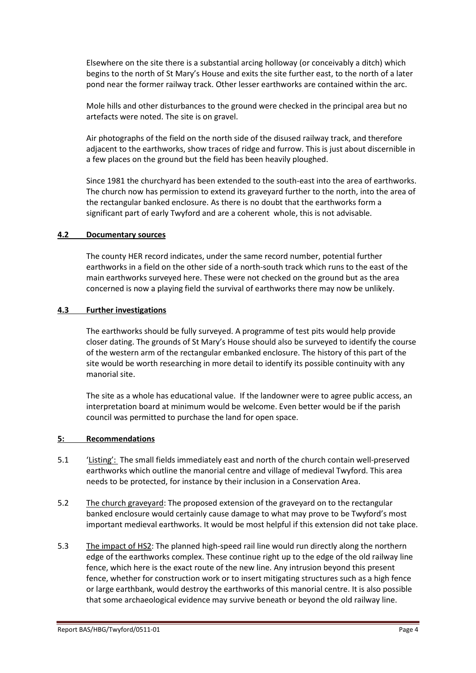Elsewhere on the site there is a substantial arcing holloway (or conceivably a ditch) which begins to the north of St Mary's House and exits the site further east, to the north of a later pond near the former railway track. Other lesser earthworks are contained within the arc.

Mole hills and other disturbances to the ground were checked in the principal area but no artefacts were noted. The site is on gravel.

Air photographs of the field on the north side of the disused railway track, and therefore adjacent to the earthworks, show traces of ridge and furrow. This is just about discernible in a few places on the ground but the field has been heavily ploughed.

Since 1981 the churchyard has been extended to the south-east into the area of earthworks. The church now has permission to extend its graveyard further to the north, into the area of the rectangular banked enclosure. As there is no doubt that the earthworks form a significant part of early Twyford and are a coherent whole, this is not advisable.

#### **4.2 Documentary sources**

The county HER record indicates, under the same record number, potential further earthworks in a field on the other side of a north-south track which runs to the east of the main earthworks surveyed here. These were not checked on the ground but as the area concerned is now a playing field the survival of earthworks there may now be unlikely.

#### **4.3 Further investigations**

The earthworks should be fully surveyed. A programme of test pits would help provide closer dating. The grounds of St Mary's House should also be surveyed to identify the course of the western arm of the rectangular embanked enclosure. The history of this part of the site would be worth researching in more detail to identify its possible continuity with any manorial site.

The site as a whole has educational value. If the landowner were to agree public access, an interpretation board at minimum would be welcome. Even better would be if the parish council was permitted to purchase the land for open space.

#### **5: Recommendations**

- 5.1 'Listing': The small fields immediately east and north of the church contain well-preserved earthworks which outline the manorial centre and village of medieval Twyford. This area needs to be protected, for instance by their inclusion in a Conservation Area.
- 5.2 The church graveyard: The proposed extension of the graveyard on to the rectangular banked enclosure would certainly cause damage to what may prove to be Twyford's most important medieval earthworks. It would be most helpful if this extension did not take place.
- 5.3 The impact of HS2: The planned high-speed rail line would run directly along the northern edge of the earthworks complex. These continue right up to the edge of the old railway line fence, which here is the exact route of the new line. Any intrusion beyond this present fence, whether for construction work or to insert mitigating structures such as a high fence or large earthbank, would destroy the earthworks of this manorial centre. It is also possible that some archaeological evidence may survive beneath or beyond the old railway line.